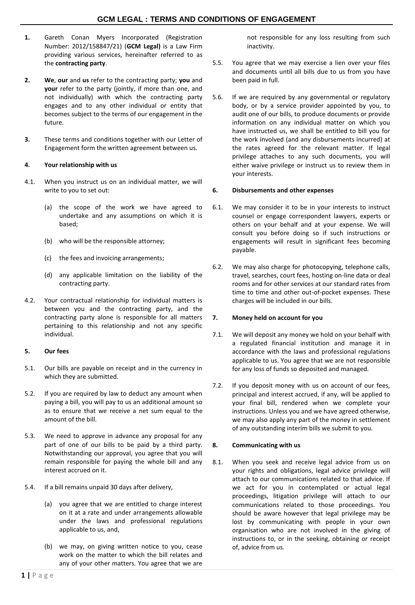- **1.** Gareth Conan Myers Incorporated (Registration Number: 2012/158847/21) (**GCM Legal)** is a Law Firm providing various services, hereinafter referred to as the **contracting party**.
- **2. We**, **our** and **us** refer to the contracting party; **you** and **your** refer to the party (jointly, if more than one, and not individually) with which the contracting party engages and to any other individual or entity that becomes subject to the terms of our engagement in the future.
- **3.** These terms and conditions together with our Letter of Engagement form the written agreement between us.

# **4. Your relationship with us**

- 4.1. When you instruct us on an individual matter, we will write to you to set out:
	- (a) the scope of the work we have agreed to undertake and any assumptions on which it is based;
	- (b) who will be the responsible attorney;
	- (c) the fees and invoicing arrangements;
	- (d) any applicable limitation on the liability of the contracting party.
- 4.2. Your contractual relationship for individual matters is between you and the contracting party, and the contracting party alone is responsible for all matters pertaining to this relationship and not any specific individual.

# **5. Our fees**

- 5.1. Our bills are payable on receipt and in the currency in which they are submitted.
- 5.2. If you are required by law to deduct any amount when paying a bill, you will pay to us an additional amount so as to ensure that we receive a net sum equal to the amount of the bill.
- 5.3. We need to approve in advance any proposal for any part of one of our bills to be paid by a third party. Notwithstanding our approval, you agree that you will remain responsible for paying the whole bill and any interest accrued on it.
- <span id="page-0-0"></span>5.4. If a bill remains unpaid 30 days after delivery,
	- (a) you agree that we are entitled to charge interest on it at a rate and under arrangements allowable under the laws and professional regulations applicable to us, and,
	- (b) we may, on giving written notice to you, cease work on the matter to which the bill relates and any of your other matters. You agree that we are

not responsible for any loss resulting from such inactivity.

- 5.5. You agree that we may exercise a lien over your files and documents until all bills due to us from you have been paid in full.
- 5.6. If we are required by any governmental or regulatory body, or by a service provider appointed by you, to audit one of our bills, to produce documents or provide information on any individual matter on which you have instructed us, we shall be entitled to bill you for the work involved (and any disbursements incurred) at the rates agreed for the relevant matter. If legal privilege attaches to any such documents, you will either waive privilege or instruct us to review them in your interests.

## **6. Disbursements and other expenses**

- 6.1. We may consider it to be in your interests to instruct counsel or engage correspondent lawyers, experts or others on your behalf and at your expense. We will consult you before doing so if such instructions or engagements will result in significant fees becoming payable.
- 6.2. We may also charge for photocopying, telephone calls, travel, searches, court fees, hosting on-line data or deal rooms and for other services at our standard rates from time to time and other out-of-pocket expenses. These charges will be included in our bills.

# **7. Money held on account for you**

- 7.1. We will deposit any money we hold on your behalf with a regulated financial institution and manage it in accordance with the laws and professional regulations applicable to us. You agree that we are not responsible for any loss of funds so deposited and managed.
- 7.2. If you deposit money with us on account of our fees, principal and interest accrued, if any, will be applied to your final bill, rendered when we complete your instructions. Unless you and we have agreed otherwise, we may also apply any part of the money in settlement of any outstanding interim bills we submit to you.

# **8. Communicating with us**

8.1. When you seek and receive legal advice from us on your rights and obligations, legal advice privilege will attach to our communications related to that advice. If we act for you in contemplated or actual legal proceedings, litigation privilege will attach to our communications related to those proceedings. You should be aware however that legal privilege may be lost by communicating with people in your own organisation who are not involved in the giving of instructions to, or in the seeking, obtaining or receipt of, advice from us.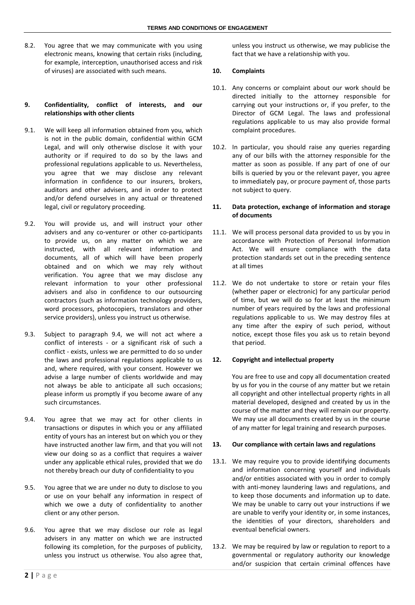8.2. You agree that we may communicate with you using electronic means, knowing that certain risks (including, for example, interception, unauthorised access and risk of viruses) are associated with such means.

### **9. Confidentiality, conflict of interests, and our relationships with other clients**

- 9.1. We will keep all information obtained from you, which is not in the public domain, confidential within GCM Legal, and will only otherwise disclose it with your authority or if required to do so by the laws and professional regulations applicable to us. Nevertheless, you agree that we may disclose any relevant information in confidence to our insurers, brokers, auditors and other advisers, and in order to protect and/or defend ourselves in any actual or threatened legal, civil or regulatory proceeding.
- 9.2. You will provide us, and will instruct your other advisers and any co-venturer or other co-participants to provide us, on any matter on which we are instructed, with all relevant information and documents, all of which will have been properly obtained and on which we may rely without verification. You agree that we may disclose any relevant information to your other professional advisers and also in confidence to our outsourcing contractors (such as information technology providers, word processors, photocopiers, translators and other service providers), unless you instruct us otherwise.
- 9.3. Subject to paragraph [9.4,](#page-1-0) we will not act where a conflict of interests - or a significant risk of such a conflict - exists, unless we are permitted to do so under the laws and professional regulations applicable to us and, where required, with your consent. However we advise a large number of clients worldwide and may not always be able to anticipate all such occasions; please inform us promptly if you become aware of any such circumstances.
- <span id="page-1-0"></span>9.4. You agree that we may act for other clients in transactions or disputes in which you or any affiliated entity of yours has an interest but on which you or they have instructed another law firm, and that you will not view our doing so as a conflict that requires a waiver under any applicable ethical rules, provided that we do not thereby breach our duty of confidentiality to you
- 9.5. You agree that we are under no duty to disclose to you or use on your behalf any information in respect of which we owe a duty of confidentiality to another client or any other person.
- 9.6. You agree that we may disclose our role as legal advisers in any matter on which we are instructed following its completion, for the purposes of publicity, unless you instruct us otherwise. You also agree that,

unless you instruct us otherwise, we may publicise the fact that we have a relationship with you.

## **10. Complaints**

- 10.1. Any concerns or complaint about our work should be directed initially to the attorney responsible for carrying out your instructions or, if you prefer, to the Director of GCM Legal. The laws and professional regulations applicable to us may also provide formal complaint procedures.
- 10.2. In particular, you should raise any queries regarding any of our bills with the attorney responsible for the matter as soon as possible. If any part of one of our bills is queried by you or the relevant payer, you agree to immediately pay, or procure payment of, those parts not subject to query.

## **11. Data protection, exchange of information and storage of documents**

- 11.1. We will process personal data provided to us by you in accordance with Protection of Personal Information Act. We will ensure compliance with the data protection standards set out in the preceding sentence at all times
- 11.2. We do not undertake to store or retain your files (whether paper or electronic) for any particular period of time, but we will do so for at least the minimum number of years required by the laws and professional regulations applicable to us. We may destroy files at any time after the expiry of such period, without notice, except those files you ask us to retain beyond that period.

### **12. Copyright and intellectual property**

You are free to use and copy all documentation created by us for you in the course of any matter but we retain all copyright and other intellectual property rights in all material developed, designed and created by us in the course of the matter and they will remain our property. We may use all documents created by us in the course of any matter for legal training and research purposes.

### **13. Our compliance with certain laws and regulations**

- 13.1. We may require you to provide identifying documents and information concerning yourself and individuals and/or entities associated with you in order to comply with anti-money laundering laws and regulations, and to keep those documents and information up to date. We may be unable to carry out your instructions if we are unable to verify your identity or, in some instances, the identities of your directors, shareholders and eventual beneficial owners.
- 13.2. We may be required by law or regulation to report to a governmental or regulatory authority our knowledge and/or suspicion that certain criminal offences have